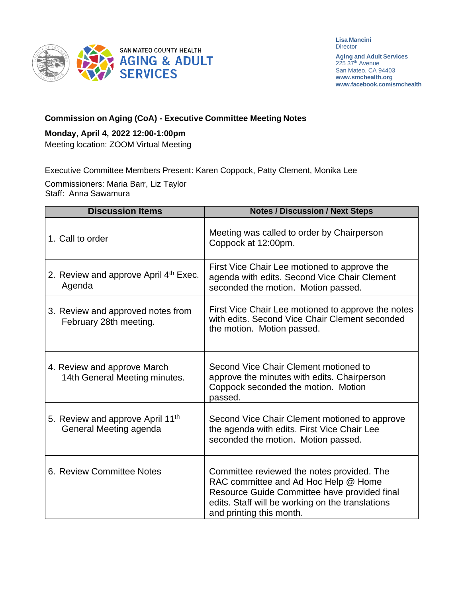

**Lisa Mancini Director** 

**Aging and Adult Services** 225 37<sup>th</sup> Avenue San Mateo, CA 94403 **[www.smchealth.org](http://www.smchealth.org/) [www.facebook.com/smchealth](http://www.facebook.com/smchealth)**

## **Commission on Aging (CoA) - Executive Committee Meeting Notes**

### **Monday, April 4, 2022 12:00-1:00pm**

Meeting location: ZOOM Virtual Meeting

Executive Committee Members Present: Karen Coppock, Patty Clement, Monika Lee

Commissioners: Maria Barr, Liz Taylor Staff: Anna Sawamura

| <b>Discussion Items</b>                                                | <b>Notes / Discussion / Next Steps</b>                                                                                                                                                                             |
|------------------------------------------------------------------------|--------------------------------------------------------------------------------------------------------------------------------------------------------------------------------------------------------------------|
| 1. Call to order                                                       | Meeting was called to order by Chairperson<br>Coppock at 12:00pm.                                                                                                                                                  |
| 2. Review and approve April 4th Exec.<br>Agenda                        | First Vice Chair Lee motioned to approve the<br>agenda with edits. Second Vice Chair Clement<br>seconded the motion. Motion passed.                                                                                |
| 3. Review and approved notes from<br>February 28th meeting.            | First Vice Chair Lee motioned to approve the notes<br>with edits. Second Vice Chair Clement seconded<br>the motion. Motion passed.                                                                                 |
| 4. Review and approve March<br>14th General Meeting minutes.           | Second Vice Chair Clement motioned to<br>approve the minutes with edits. Chairperson<br>Coppock seconded the motion. Motion<br>passed.                                                                             |
| 5. Review and approve April 11 <sup>th</sup><br>General Meeting agenda | Second Vice Chair Clement motioned to approve<br>the agenda with edits. First Vice Chair Lee<br>seconded the motion. Motion passed.                                                                                |
| 6. Review Committee Notes                                              | Committee reviewed the notes provided. The<br>RAC committee and Ad Hoc Help @ Home<br>Resource Guide Committee have provided final<br>edits. Staff will be working on the translations<br>and printing this month. |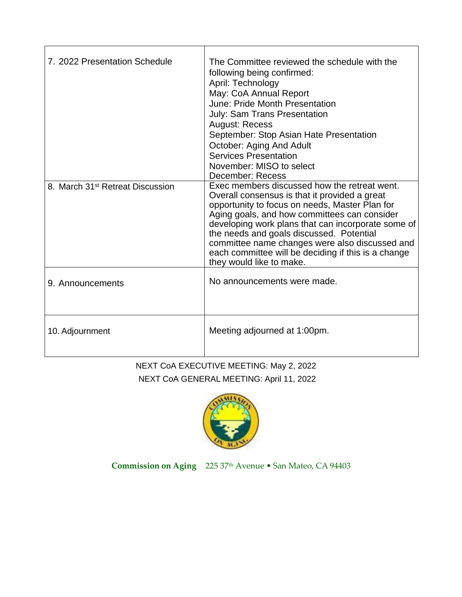| 7. 2022 Presentation Schedule                | The Committee reviewed the schedule with the<br>following being confirmed:<br>April: Technology<br>May: CoA Annual Report<br>June: Pride Month Presentation<br><b>July: Sam Trans Presentation</b><br><b>August: Recess</b><br>September: Stop Asian Hate Presentation<br>October: Aging And Adult<br><b>Services Presentation</b><br>November: MISO to select<br>December: Recess                                                     |
|----------------------------------------------|----------------------------------------------------------------------------------------------------------------------------------------------------------------------------------------------------------------------------------------------------------------------------------------------------------------------------------------------------------------------------------------------------------------------------------------|
| 8. March 31 <sup>st</sup> Retreat Discussion | Exec members discussed how the retreat went.<br>Overall consensus is that it provided a great<br>opportunity to focus on needs, Master Plan for<br>Aging goals, and how committees can consider<br>developing work plans that can incorporate some of<br>the needs and goals discussed. Potential<br>committee name changes were also discussed and<br>each committee will be deciding if this is a change<br>they would like to make. |
| 9. Announcements                             | No announcements were made.                                                                                                                                                                                                                                                                                                                                                                                                            |
| 10. Adjournment                              | Meeting adjourned at 1:00pm.                                                                                                                                                                                                                                                                                                                                                                                                           |

# NEXT CoA EXECUTIVE MEETING: May 2, 2022 NEXT CoA GENERAL MEETING: April 11, 2022



**Commission on Aging** 225 37th Avenue • San Mateo, CA 94403